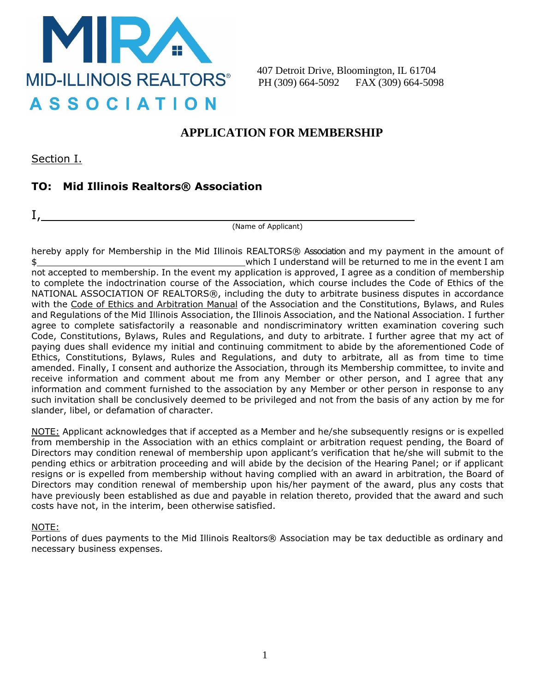

407 Detroit Drive, Bloomington, IL 61704 PH (309) 664-5092 FAX (309) 664-5098

## **APPLICATION FOR MEMBERSHIP**

Section I.

### **TO: Mid Illinois Realtors® Association**

I,

(Name of Applicant)

hereby apply for Membership in the Mid Illinois REALTORS® Association and my payment in the amount of \$ which I understand will be returned to me in the event I am not accepted to membership. In the event my application is approved, I agree as a condition of membership to complete the indoctrination course of the Association, which course includes the Code of Ethics of the NATIONAL ASSOCIATION OF REALTORS®, including the duty to arbitrate business disputes in accordance with the Code of Ethics and Arbitration Manual of the Association and the Constitutions, Bylaws, and Rules and Regulations of the Mid Illinois Association, the Illinois Association, and the National Association. I further agree to complete satisfactorily a reasonable and nondiscriminatory written examination covering such Code, Constitutions, Bylaws, Rules and Regulations, and duty to arbitrate. I further agree that my act of paying dues shall evidence my initial and continuing commitment to abide by the aforementioned Code of Ethics, Constitutions, Bylaws, Rules and Regulations, and duty to arbitrate, all as from time to time amended. Finally, I consent and authorize the Association, through its Membership committee, to invite and receive information and comment about me from any Member or other person, and I agree that any information and comment furnished to the association by any Member or other person in response to any such invitation shall be conclusively deemed to be privileged and not from the basis of any action by me for slander, libel, or defamation of character.

NOTE: Applicant acknowledges that if accepted as a Member and he/she subsequently resigns or is expelled from membership in the Association with an ethics complaint or arbitration request pending, the Board of Directors may condition renewal of membership upon applicant's verification that he/she will submit to the pending ethics or arbitration proceeding and will abide by the decision of the Hearing Panel; or if applicant resigns or is expelled from membership without having complied with an award in arbitration, the Board of Directors may condition renewal of membership upon his/her payment of the award, plus any costs that have previously been established as due and payable in relation thereto, provided that the award and such costs have not, in the interim, been otherwise satisfied.

#### NOTE:

Portions of dues payments to the Mid Illinois Realtors® Association may be tax deductible as ordinary and necessary business expenses.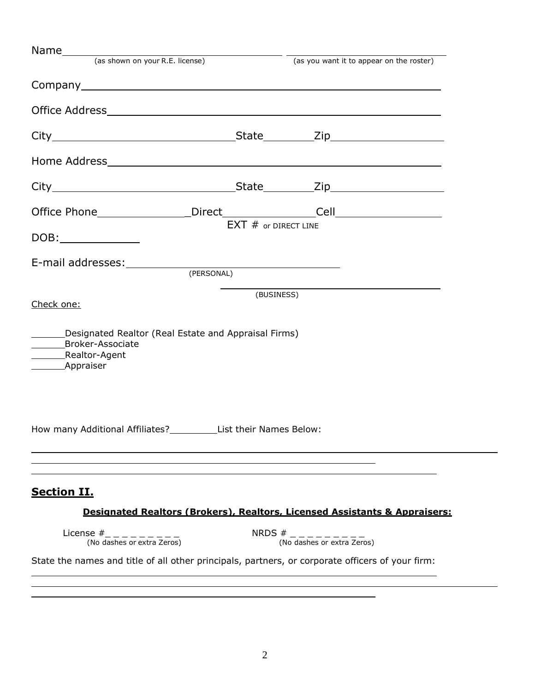| Name (as shown on your R.E. license)                                                                       |                        | (as you want it to appear on the roster)                                              |
|------------------------------------------------------------------------------------------------------------|------------------------|---------------------------------------------------------------------------------------|
|                                                                                                            |                        |                                                                                       |
|                                                                                                            |                        |                                                                                       |
|                                                                                                            |                        |                                                                                       |
|                                                                                                            |                        |                                                                                       |
|                                                                                                            |                        |                                                                                       |
|                                                                                                            |                        |                                                                                       |
|                                                                                                            |                        |                                                                                       |
| DOB:______________                                                                                         | $EXT$ # or DIRECT LINE |                                                                                       |
| E-mail addresses: (PERSONAL)                                                                               |                        |                                                                                       |
|                                                                                                            |                        |                                                                                       |
| Check one:                                                                                                 | (BUSINESS)             |                                                                                       |
| Designated Realtor (Real Estate and Appraisal Firms)<br>_______Broker-Associate<br>______________Appraiser |                        |                                                                                       |
| How many Additional Affiliates?<br><u>______________</u> _List their Names Below:                          |                        |                                                                                       |
|                                                                                                            |                        |                                                                                       |
| <b>Section II.</b>                                                                                         |                        |                                                                                       |
|                                                                                                            |                        | <b>Designated Realtors (Brokers), Realtors, Licensed Assistants &amp; Appraisers:</b> |
| License $\#$ <sub>-------</sub> --<br>(No dashes or extra Zeros)                                           |                        | NRDS $\#$ _ _ _ _ _ _ _ _ _ _ _<br>(No dashes or extra Zeros)                         |
|                                                                                                            |                        |                                                                                       |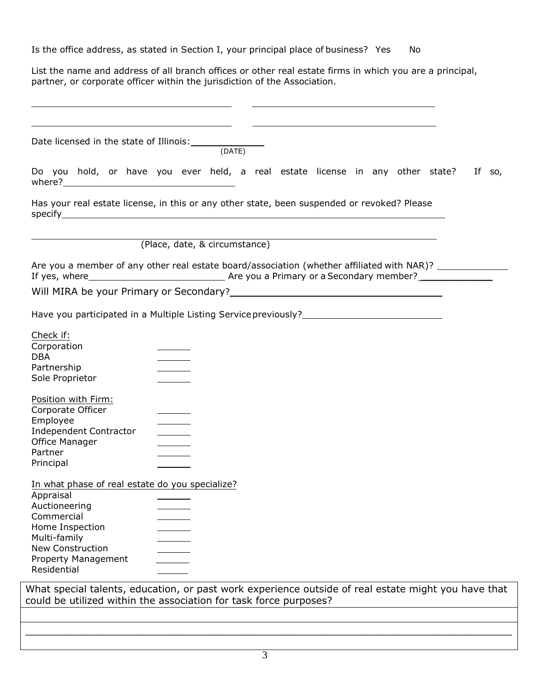Is the office address, as stated in Section I, your principal place of business? Yes No

List the name and address of all branch offices or other real estate firms in which you are a principal, partner, or corporate officer within the jurisdiction of the Association.

| Date licensed in the state of Illinois: (DATE)                                                       |                               |  |                                                                   |  |  |  |
|------------------------------------------------------------------------------------------------------|-------------------------------|--|-------------------------------------------------------------------|--|--|--|
| Do you hold, or have you ever held, a real estate license in any other state? If so,                 |                               |  |                                                                   |  |  |  |
| Has your real estate license, in this or any other state, been suspended or revoked? Please          |                               |  |                                                                   |  |  |  |
|                                                                                                      | (Place, date, & circumstance) |  |                                                                   |  |  |  |
| Are you a member of any other real estate board/association (whether affiliated with NAR)? _________ |                               |  |                                                                   |  |  |  |
|                                                                                                      |                               |  |                                                                   |  |  |  |
| Have you participated in a Multiple Listing Service previously?__________________                    |                               |  |                                                                   |  |  |  |
| Check if:<br>Corporation                                                                             |                               |  |                                                                   |  |  |  |
| <b>DBA</b>                                                                                           |                               |  |                                                                   |  |  |  |
| Partnership<br>Sole Proprietor                                                                       |                               |  |                                                                   |  |  |  |
| Position with Firm:<br>Corporate Officer                                                             |                               |  |                                                                   |  |  |  |
| Employee                                                                                             |                               |  |                                                                   |  |  |  |
| <b>Independent Contractor</b><br>Office Manager                                                      |                               |  |                                                                   |  |  |  |
| Partner                                                                                              |                               |  |                                                                   |  |  |  |
| Principal                                                                                            |                               |  |                                                                   |  |  |  |
| In what phase of real estate do you specialize?                                                      |                               |  |                                                                   |  |  |  |
| Appraisal<br>Auctioneering                                                                           |                               |  |                                                                   |  |  |  |
| Commercial                                                                                           |                               |  |                                                                   |  |  |  |
| Home Inspection                                                                                      |                               |  |                                                                   |  |  |  |
| Multi-family<br><b>New Construction</b>                                                              |                               |  |                                                                   |  |  |  |
| Property Management                                                                                  |                               |  |                                                                   |  |  |  |
| Residential                                                                                          |                               |  |                                                                   |  |  |  |
| What special talents, education, or past work experience outside of real estate might you have that  |                               |  | could be utilized within the association for task force purposes? |  |  |  |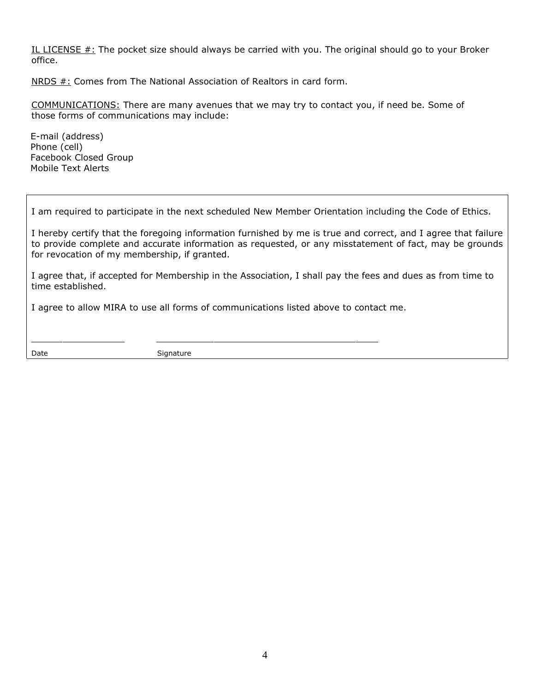IL LICENSE  $#$ : The pocket size should always be carried with you. The original should go to your Broker office.

NRDS #: Comes from The National Association of Realtors in card form.

COMMUNICATIONS: There are many avenues that we may try to contact you, if need be. Some of those forms of communications may include:

E-mail (address) Phone (cell) Facebook Closed Group Mobile Text Alerts

I am required to participate in the next scheduled New Member Orientation including the Code of Ethics.

I hereby certify that the foregoing information furnished by me is true and correct, and I agree that failure to provide complete and accurate information as requested, or any misstatement of fact, may be grounds for revocation of my membership, if granted.

I agree that, if accepted for Membership in the Association, I shall pay the fees and dues as from time to time established.

I agree to allow MIRA to use all forms of communications listed above to contact me.

Date Signature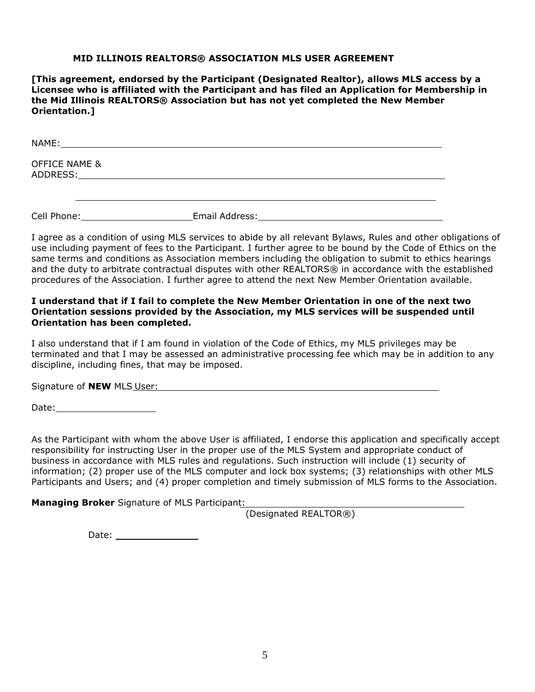#### **MID ILLINOIS REALTORS® ASSOCIATION MLS USER AGREEMENT**

**[This agreement, endorsed by the Participant (Designated Realtor), allows MLS access by a Licensee who is affiliated with the Participant and has filed an Application for Membership in the Mid Illinois REALTORS® Association but has not yet completed the New Member Orientation.]**

NAME: OFFICE NAME & ADDRESS:

Cell Phone: Email Address:

I agree as a condition of using MLS services to abide by all relevant Bylaws, Rules and other obligations of use including payment of fees to the Participant. I further agree to be bound by the Code of Ethics on the same terms and conditions as Association members including the obligation to submit to ethics hearings and the duty to arbitrate contractual disputes with other REALTORS® in accordance with the established procedures of the Association. I further agree to attend the next New Member Orientation available.

#### **I understand that if I fail to complete the New Member Orientation in one of the next two Orientation sessions provided by the Association, my MLS services will be suspended until Orientation has been completed.**

I also understand that if I am found in violation of the Code of Ethics, my MLS privileges may be terminated and that I may be assessed an administrative processing fee which may be in addition to any discipline, including fines, that may be imposed.

Signature of **NEW** MLS User:

Date: when the contract of the contract of the contract of the contract of the contract of the contract of the contract of the contract of the contract of the contract of the contract of the contract of the contract of the

As the Participant with whom the above User is affiliated, I endorse this application and specifically accept responsibility for instructing User in the proper use of the MLS System and appropriate conduct of business in accordance with MLS rules and regulations. Such instruction will include (1) security of information; (2) proper use of the MLS computer and lock box systems; (3) relationships with other MLS Participants and Users; and (4) proper completion and timely submission of MLS forms to the Association.

**Managing Broker** Signature of MLS Participant:

(Designated REALTOR®)

Date: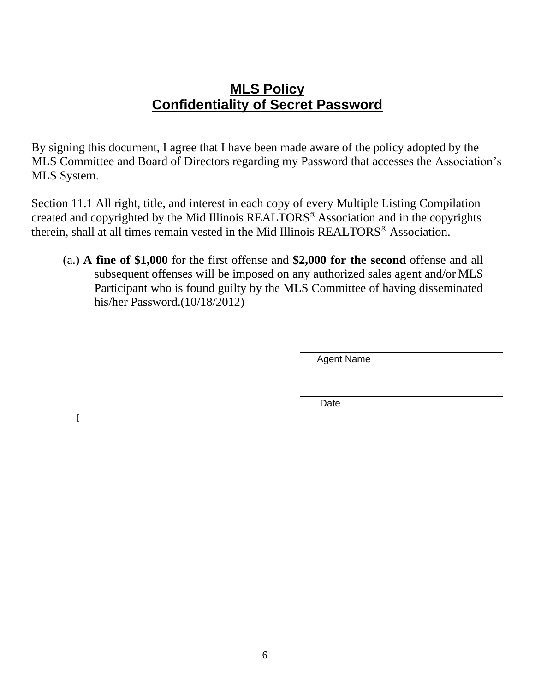## **MLS Policy Confidentiality of Secret Password**

By signing this document, I agree that I have been made aware of the policy adopted by the MLS Committee and Board of Directors regarding my Password that accesses the Association's MLS System.

Section 11.1 All right, title, and interest in each copy of every Multiple Listing Compilation created and copyrighted by the Mid Illinois REALTORS® Association and in the copyrights therein, shall at all times remain vested in the Mid Illinois REALTORS® Association.

(a.) **A fine of \$1,000** for the first offense and **\$2,000 for the second** offense and all subsequent offenses will be imposed on any authorized sales agent and/or MLS Participant who is found guilty by the MLS Committee of having disseminated his/her Password.(10/18/2012)

Agent Name

Date

**[**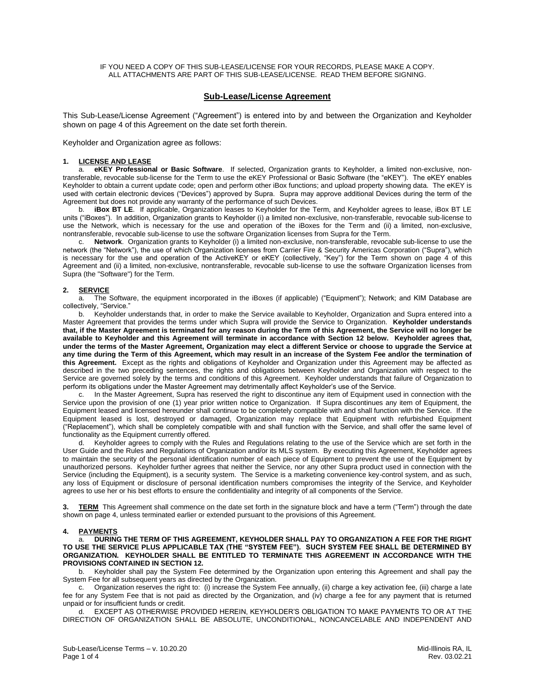IF YOU NEED A COPY OF THIS SUB-LEASE/LICENSE FOR YOUR RECORDS, PLEASE MAKE A COPY. ALL ATTACHMENTS ARE PART OF THIS SUB-LEASE/LICENSE. READ THEM BEFORE SIGNING.

#### **Sub-Lease/License Agreement**

This Sub-Lease/License Agreement ("Agreement") is entered into by and between the Organization and Keyholder shown on page 4 of this Agreement on the date set forth therein.

Keyholder and Organization agree as follows:

#### **1. LICENSE AND LEASE**

a. **eKEY Professional or Basic Software**. If selected, Organization grants to Keyholder, a limited non-exclusive, nontransferable, revocable sub-license for the Term to use the eKEY Professional or Basic Software (the "eKEY"). The eKEY enables Keyholder to obtain a current update code; open and perform other iBox functions; and upload property showing data. The eKEY is used with certain electronic devices ("Devices") approved by Supra. Supra may approve additional Devices during the term of the Agreement but does not provide any warranty of the performance of such Devices.

b. **iBox BT LE**. If applicable, Organization leases to Keyholder for the Term, and Keyholder agrees to lease, iBox BT LE units ("iBoxes"). In addition, Organization grants to Keyholder (i) a limited non-exclusive, non-transferable, revocable sub-license to use the Network, which is necessary for the use and operation of the iBoxes for the Term and (ii) a limited, non-exclusive, nontransferable, revocable sub-license to use the software Organization licenses from Supra for the Term.

c. **Network**. Organization grants to Keyholder (i) a limited non-exclusive, non-transferable, revocable sub-license to use the network (the "Network"), the use of which Organization licenses from Carrier Fire & Security Americas Corporation ("Supra"), which is necessary for the use and operation of the ActiveKEY or eKEY (collectively, "Key") for the Term shown on page 4 of this Agreement and (ii) a limited, non-exclusive, nontransferable, revocable sub-license to use the software Organization licenses from Supra (the "Software") for the Term.

#### **2. SERVICE**

a. The Software, the equipment incorporated in the iBoxes (if applicable) ("Equipment"); Network; and KIM Database are collectively, "Service."

b. Keyholder understands that, in order to make the Service available to Keyholder, Organization and Supra entered into a Master Agreement that provides the terms under which Supra will provide the Service to Organization. **Keyholder understands that, if the Master Agreement is terminated for any reason during the Term of this Agreement, the Service will no longer be available to Keyholder and this Agreement will terminate in accordance with Section 12 below. Keyholder agrees that, under the terms of the Master Agreement, Organization may elect a different Service or choose to upgrade the Service at any time during the Term of this Agreement, which may result in an increase of the System Fee and/or the termination of this Agreement.** Except as the rights and obligations of Keyholder and Organization under this Agreement may be affected as described in the two preceding sentences, the rights and obligations between Keyholder and Organization with respect to the Service are governed solely by the terms and conditions of this Agreement. Keyholder understands that failure of Organization to perform its obligations under the Master Agreement may detrimentally affect Keyholder's use of the Service.

c. In the Master Agreement, Supra has reserved the right to discontinue any item of Equipment used in connection with the Service upon the provision of one (1) year prior written notice to Organization. If Supra discontinues any item of Equipment, the Equipment leased and licensed hereunder shall continue to be completely compatible with and shall function with the Service. If the Equipment leased is lost, destroyed or damaged, Organization may replace that Equipment with refurbished Equipment ("Replacement"), which shall be completely compatible with and shall function with the Service, and shall offer the same level of functionality as the Equipment currently offered.

Keyholder agrees to comply with the Rules and Regulations relating to the use of the Service which are set forth in the User Guide and the Rules and Regulations of Organization and/or its MLS system. By executing this Agreement, Keyholder agrees to maintain the security of the personal identification number of each piece of Equipment to prevent the use of the Equipment by unauthorized persons. Keyholder further agrees that neither the Service, nor any other Supra product used in connection with the Service (including the Equipment), is a security system. The Service is a marketing convenience key-control system, and as such, any loss of Equipment or disclosure of personal identification numbers compromises the integrity of the Service, and Keyholder agrees to use her or his best efforts to ensure the confidentiality and integrity of all components of the Service.

**TERM** This Agreement shall commence on the date set forth in the signature block and have a term ("Term") through the date shown on page 4, unless terminated earlier or extended pursuant to the provisions of this Agreement.

#### **4. PAYMENTS**

a. **DURING THE TERM OF THIS AGREEMENT, KEYHOLDER SHALL PAY TO ORGANIZATION A FEE FOR THE RIGHT TO USE THE SERVICE PLUS APPLICABLE TAX (THE "SYSTEM FEE"). SUCH SYSTEM FEE SHALL BE DETERMINED BY ORGANIZATION. KEYHOLDER SHALL BE ENTITLED TO TERMINATE THIS AGREEMENT IN ACCORDANCE WITH THE PROVISIONS CONTAINED IN SECTION 12.**

b. Keyholder shall pay the System Fee determined by the Organization upon entering this Agreement and shall pay the System Fee for all subsequent years as directed by the Organization.

c. Organization reserves the right to: (i) increase the System Fee annually, (ii) charge a key activation fee, (iii) charge a late fee for any System Fee that is not paid as directed by the Organization, and (iv) charge a fee for any payment that is returned unpaid or for insufficient funds or credit.

d. EXCEPT AS OTHERWISE PROVIDED HEREIN, KEYHOLDER'S OBLIGATION TO MAKE PAYMENTS TO OR AT THE DIRECTION OF ORGANIZATION SHALL BE ABSOLUTE, UNCONDITIONAL, NONCANCELABLE AND INDEPENDENT AND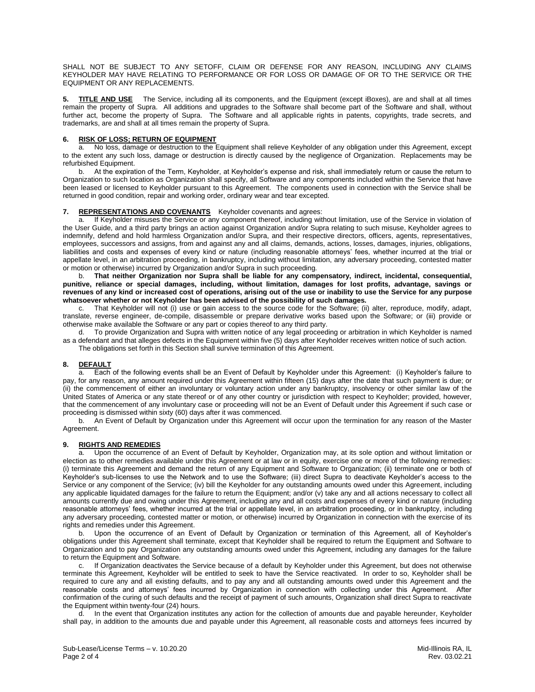SHALL NOT BE SUBJECT TO ANY SETOFF, CLAIM OR DEFENSE FOR ANY REASON, INCLUDING ANY CLAIMS KEYHOLDER MAY HAVE RELATING TO PERFORMANCE OR FOR LOSS OR DAMAGE OF OR TO THE SERVICE OR THE EQUIPMENT OR ANY REPLACEMENTS.

**5. TITLE AND USE** The Service, including all its components, and the Equipment (except iBoxes), are and shall at all times remain the property of Supra. All additions and upgrades to the Software shall become part of the Software and shall, without further act, become the property of Supra. The Software and all applicable rights in patents, copyrights, trade secrets, and trademarks, are and shall at all times remain the property of Supra.

#### **6. RISK OF LOSS; RETURN OF EQUIPMENT**

a. No loss, damage or destruction to the Equipment shall relieve Keyholder of any obligation under this Agreement, except to the extent any such loss, damage or destruction is directly caused by the negligence of Organization. Replacements may be refurbished Equipment.<br>b At the expirat

b. At the expiration of the Term, Keyholder, at Keyholder's expense and risk, shall immediately return or cause the return to Organization to such location as Organization shall specify, all Software and any components included within the Service that have been leased or licensed to Keyholder pursuant to this Agreement. The components used in connection with the Service shall be returned in good condition, repair and working order, ordinary wear and tear excepted.

#### **7. REPRESENTATIONS AND COVENANTS** Keyholder covenants and agrees:

a. If Keyholder misuses the Service or any component thereof, including without limitation, use of the Service in violation of the User Guide, and a third party brings an action against Organization and/or Supra relating to such misuse, Keyholder agrees to indemnify, defend and hold harmless Organization and/or Supra, and their respective directors, officers, agents, representatives, employees, successors and assigns, from and against any and all claims, demands, actions, losses, damages, injuries, obligations, liabilities and costs and expenses of every kind or nature (including reasonable attorneys' fees, whether incurred at the trial or appellate level, in an arbitration proceeding, in bankruptcy, including without limitation, any adversary proceeding, contested matter or motion or otherwise) incurred by Organization and/or Supra in such proceeding.

b. **That neither Organization nor Supra shall be liable for any compensatory, indirect, incidental, consequential, punitive, reliance or special damages, including, without limitation, damages for lost profits, advantage, savings or revenues of any kind or increased cost of operations, arising out of the use or inability to use the Service for any purpose whatsoever whether or not Keyholder has been advised of the possibility of such damages.**

c. That Keyholder will not (i) use or gain access to the source code for the Software; (ii) alter, reproduce, modify, adapt, translate, reverse engineer, de-compile, disassemble or prepare derivative works based upon the Software; or (iii) provide or otherwise make available the Software or any part or copies thereof to any third party.

d. To provide Organization and Supra with written notice of any legal proceeding or arbitration in which Keyholder is named as a defendant and that alleges defects in the Equipment within five (5) days after Keyholder receives written notice of such action. The obligations set forth in this Section shall survive termination of this Agreement.

#### **8. DEFAULT**

a. Each of the following events shall be an Event of Default by Keyholder under this Agreement: (i) Keyholder's failure to pay, for any reason, any amount required under this Agreement within fifteen (15) days after the date that such payment is due; or (ii) the commencement of either an involuntary or voluntary action under any bankruptcy, insolvency or other similar law of the United States of America or any state thereof or of any other country or jurisdiction with respect to Keyholder; provided, however, that the commencement of any involuntary case or proceeding will not be an Event of Default under this Agreement if such case or proceeding is dismissed within sixty (60) days after it was commenced.

b. An Event of Default by Organization under this Agreement will occur upon the termination for any reason of the Master Agreement.

#### **9. RIGHTS AND REMEDIES**

a. Upon the occurrence of an Event of Default by Keyholder, Organization may, at its sole option and without limitation or election as to other remedies available under this Agreement or at law or in equity, exercise one or more of the following remedies: (i) terminate this Agreement and demand the return of any Equipment and Software to Organization; (ii) terminate one or both of Keyholder's sub-licenses to use the Network and to use the Software; (iii) direct Supra to deactivate Keyholder's access to the Service or any component of the Service; (iv) bill the Keyholder for any outstanding amounts owed under this Agreement, including any applicable liquidated damages for the failure to return the Equipment; and/or (v) take any and all actions necessary to collect all amounts currently due and owing under this Agreement, including any and all costs and expenses of every kind or nature (including reasonable attorneys' fees, whether incurred at the trial or appellate level, in an arbitration proceeding, or in bankruptcy, including any adversary proceeding, contested matter or motion, or otherwise) incurred by Organization in connection with the exercise of its rights and remedies under this Agreement.

b. Upon the occurrence of an Event of Default by Organization or termination of this Agreement, all of Keyholder's obligations under this Agreement shall terminate, except that Keyholder shall be required to return the Equipment and Software to Organization and to pay Organization any outstanding amounts owed under this Agreement, including any damages for the failure to return the Equipment and Software.

c. If Organization deactivates the Service because of a default by Keyholder under this Agreement, but does not otherwise terminate this Agreement, Keyholder will be entitled to seek to have the Service reactivated. In order to so, Keyholder shall be required to cure any and all existing defaults, and to pay any and all outstanding amounts owed under this Agreement and the reasonable costs and attorneys' fees incurred by Organization in connection with collecting under this Agreement. After confirmation of the curing of such defaults and the receipt of payment of such amounts, Organization shall direct Supra to reactivate the Equipment within twenty-four (24) hours.

d. In the event that Organization institutes any action for the collection of amounts due and payable hereunder, Keyholder shall pay, in addition to the amounts due and payable under this Agreement, all reasonable costs and attorneys fees incurred by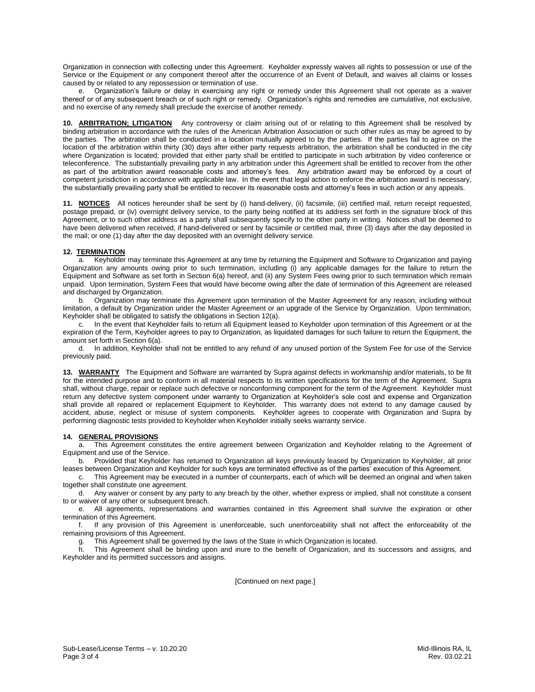Organization in connection with collecting under this Agreement. Keyholder expressly waives all rights to possession or use of the Service or the Equipment or any component thereof after the occurrence of an Event of Default, and waives all claims or losses caused by or related to any repossession or termination of use.

e. Organization's failure or delay in exercising any right or remedy under this Agreement shall not operate as a waiver thereof or of any subsequent breach or of such right or remedy. Organization's rights and remedies are cumulative, not exclusive, and no exercise of any remedy shall preclude the exercise of another remedy.

**10. ARBITRATION; LITIGATION** Any controversy or claim arising out of or relating to this Agreement shall be resolved by binding arbitration in accordance with the rules of the American Arbitration Association or such other rules as may be agreed to by the parties. The arbitration shall be conducted in a location mutually agreed to by the parties. If the parties fail to agree on the location of the arbitration within thirty (30) days after either party requests arbitration, the arbitration shall be conducted in the city where Organization is located; provided that either party shall be entitled to participate in such arbitration by video conference or teleconference. The substantially prevailing party in any arbitration under this Agreement shall be entitled to recover from the other as part of the arbitration award reasonable costs and attorney's fees. Any arbitration award may be enforced by a court of competent jurisdiction in accordance with applicable law. In the event that legal action to enforce the arbitration award is necessary, the substantially prevailing party shall be entitled to recover its reasonable costs and attorney's fees in such action or any appeals.

**11. NOTICES** All notices hereunder shall be sent by (i) hand-delivery, (ii) facsimile, (iii) certified mail, return receipt requested, postage prepaid, or (iv) overnight delivery service, to the party being notified at its address set forth in the signature block of this Agreement, or to such other address as a party shall subsequently specify to the other party in writing. Notices shall be deemed to have been delivered when received, if hand-delivered or sent by facsimile or certified mail, three (3) days after the day deposited in the mail; or one (1) day after the day deposited with an overnight delivery service.

#### **12. TERMINATION**

a. Keyholder may terminate this Agreement at any time by returning the Equipment and Software to Organization and paying Organization any amounts owing prior to such termination, including (i) any applicable damages for the failure to return the Equipment and Software as set forth in Section 6(a) hereof, and (ii) any System Fees owing prior to such termination which remain unpaid. Upon termination, System Fees that would have become owing after the date of termination of this Agreement are released and discharged by Organization.

b. Organization may terminate this Agreement upon termination of the Master Agreement for any reason, including without limitation, a default by Organization under the Master Agreement or an upgrade of the Service by Organization. Upon termination, Keyholder shall be obligated to satisfy the obligations in Section 12(a).

c. In the event that Keyholder fails to return all Equipment leased to Keyholder upon termination of this Agreement or at the expiration of the Term, Keyholder agrees to pay to Organization, as liquidated damages for such failure to return the Equipment, the amount set forth in Section 6(a).

d. In addition, Keyholder shall not be entitled to any refund of any unused portion of the System Fee for use of the Service previously paid.

**13. WARRANTY** The Equipment and Software are warranted by Supra against defects in workmanship and/or materials, to be fit for the intended purpose and to conform in all material respects to its written specifications for the term of the Agreement. Supra shall, without charge, repair or replace such defective or nonconforming component for the term of the Agreement. Keyholder must return any defective system component under warranty to Organization at Keyholder's sole cost and expense and Organization shall provide all repaired or replacement Equipment to Keyholder. This warranty does not extend to any damage caused by accident, abuse, neglect or misuse of system components. Keyholder agrees to cooperate with Organization and Supra by performing diagnostic tests provided to Keyholder when Keyholder initially seeks warranty service.

#### **14. GENERAL PROVISIONS**

a. This Agreement constitutes the entire agreement between Organization and Keyholder relating to the Agreement of Equipment and use of the Service.

b. Provided that Keyholder has returned to Organization all keys previously leased by Organization to Keyholder, all prior leases between Organization and Keyholder for such keys are terminated effective as of the parties' execution of this Agreement.

c. This Agreement may be executed in a number of counterparts, each of which will be deemed an original and when taken together shall constitute one agreement.

d. Any waiver or consent by any party to any breach by the other, whether express or implied, shall not constitute a consent to or waiver of any other or subsequent breach.

e. All agreements, representations and warranties contained in this Agreement shall survive the expiration or other termination of this Agreement.

f. If any provision of this Agreement is unenforceable, such unenforceability shall not affect the enforceability of the remaining provisions of this Agreement.

This Agreement shall be governed by the laws of the State in which Organization is located.

This Agreement shall be binding upon and inure to the benefit of Organization, and its successors and assigns, and Keyholder and its permitted successors and assigns.

[Continued on next page.]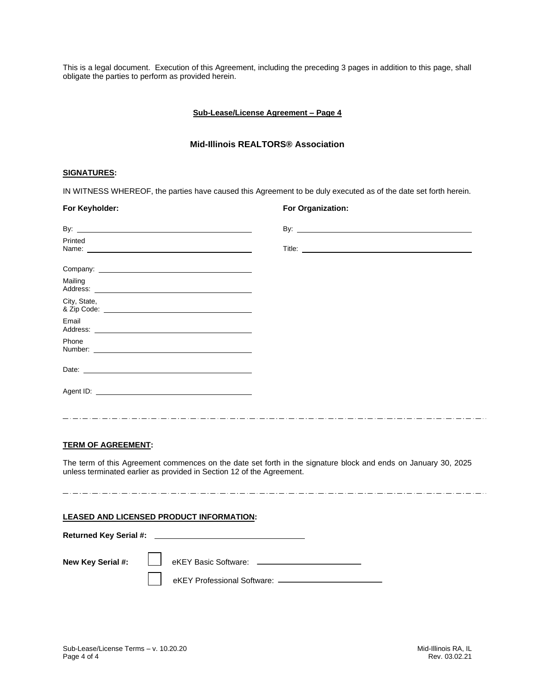This is a legal document. Execution of this Agreement, including the preceding 3 pages in addition to this page, shall obligate the parties to perform as provided herein.

#### **Sub-Lease/License Agreement – Page 4**

#### **Mid-Illinois REALTORS® Association**

#### **SIGNATURES:**

IN WITNESS WHEREOF, the parties have caused this Agreement to be duly executed as of the date set forth herein.

| For Keyholder:                                                                                                                                                                                                                           | For Organization: |
|------------------------------------------------------------------------------------------------------------------------------------------------------------------------------------------------------------------------------------------|-------------------|
|                                                                                                                                                                                                                                          |                   |
| Printed<br>Name: Name: Name: Name: Name: Name: Name: Name: Name: Name: Name: Name: Name: Name: Name: Name: Name: Name: Name: Name: Name: Name: Name: Name: Name: Name: Name: Name: Name: Name: Name: Name: Name: Name: Name: Name: Name: |                   |
|                                                                                                                                                                                                                                          |                   |
| Mailing                                                                                                                                                                                                                                  |                   |
| City, State,                                                                                                                                                                                                                             |                   |
| Email                                                                                                                                                                                                                                    |                   |
| Phone                                                                                                                                                                                                                                    |                   |
|                                                                                                                                                                                                                                          |                   |
|                                                                                                                                                                                                                                          |                   |
|                                                                                                                                                                                                                                          |                   |

#### **TERM OF AGREEMENT:**

**Returned Key Serial #:** 

The term of this Agreement commences on the date set forth in the signature block and ends on January 30, 2025 unless terminated earlier as provided in Section 12 of the Agreement.

#### **LEASED AND LICENSED PRODUCT INFORMATION:**

**New Key Serial #:**  $\Box$  eKEY Basic Software:  $\Box$ eKEY Professional Software: